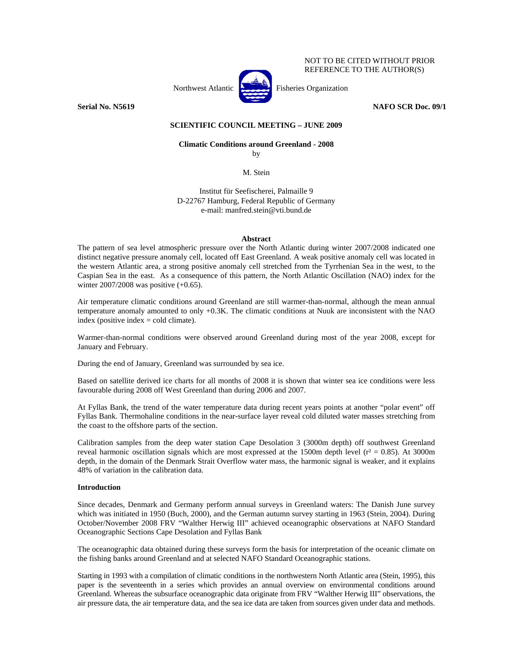

**Serial No. N5619** NAFO SCR Doc. 09/1

# **SCIENTIFIC COUNCIL MEETING – JUNE 2009**

# **Climatic Conditions around Greenland - 2008**

by

M. Stein

Institut für Seefischerei, Palmaille 9 D-22767 Hamburg, Federal Republic of Germany e-mail: manfred.stein@vti.bund.de

#### **Abstract**

The pattern of sea level atmospheric pressure over the North Atlantic during winter 2007/2008 indicated one distinct negative pressure anomaly cell, located off East Greenland. A weak positive anomaly cell was located in the western Atlantic area, a strong positive anomaly cell stretched from the Tyrrhenian Sea in the west, to the Caspian Sea in the east. As a consequence of this pattern, the North Atlantic Oscillation (NAO) index for the winter 2007/2008 was positive (+0.65).

Air temperature climatic conditions around Greenland are still warmer-than-normal, although the mean annual temperature anomaly amounted to only +0.3K. The climatic conditions at Nuuk are inconsistent with the NAO index (positive index  $=$  cold climate).

Warmer-than-normal conditions were observed around Greenland during most of the year 2008, except for January and February.

During the end of January, Greenland was surrounded by sea ice.

Based on satellite derived ice charts for all months of 2008 it is shown that winter sea ice conditions were less favourable during 2008 off West Greenland than during 2006 and 2007.

At Fyllas Bank, the trend of the water temperature data during recent years points at another "polar event" off Fyllas Bank. Thermohaline conditions in the near-surface layer reveal cold diluted water masses stretching from the coast to the offshore parts of the section.

Calibration samples from the deep water station Cape Desolation 3 (3000m depth) off southwest Greenland reveal harmonic oscillation signals which are most expressed at the 1500m depth level ( $r^2 = 0.85$ ). At 3000m depth, in the domain of the Denmark Strait Overflow water mass, the harmonic signal is weaker, and it explains 48% of variation in the calibration data.

#### **Introduction**

Since decades, Denmark and Germany perform annual surveys in Greenland waters: The Danish June survey which was initiated in 1950 (Buch, 2000), and the German autumn survey starting in 1963 (Stein, 2004). During October/November 2008 FRV "Walther Herwig III" achieved oceanographic observations at NAFO Standard Oceanographic Sections Cape Desolation and Fyllas Bank

The oceanographic data obtained during these surveys form the basis for interpretation of the oceanic climate on the fishing banks around Greenland and at selected NAFO Standard Oceanographic stations.

Starting in 1993 with a compilation of climatic conditions in the northwestern North Atlantic area (Stein, 1995), this paper is the seventeenth in a series which provides an annual overview on environmental conditions around Greenland. Whereas the subsurface oceanographic data originate from FRV "Walther Herwig III" observations, the air pressure data, the air temperature data, and the sea ice data are taken from sources given under data and methods.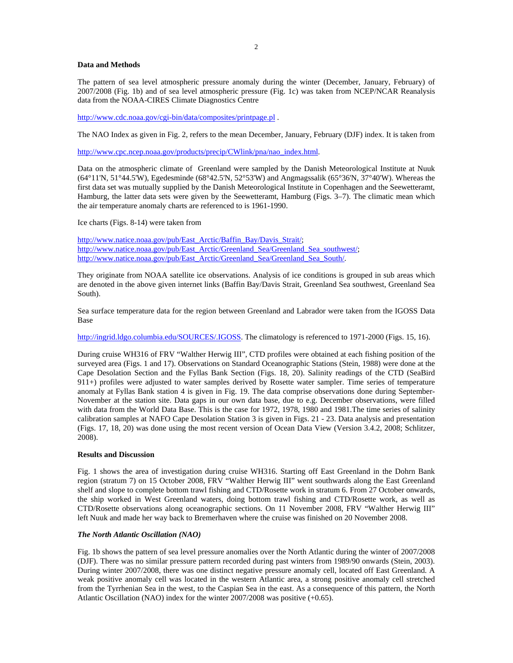#### **Data and Methods**

The pattern of sea level atmospheric pressure anomaly during the winter (December, January, February) of 2007/2008 (Fig. 1b) and of sea level atmospheric pressure (Fig. 1c) was taken from NCEP/NCAR Reanalysis data from the NOAA-CIRES Climate Diagnostics Centre

http://www.cdc.noaa.gov/cgi-bin/data/composites/printpage.pl .

The NAO Index as given in Fig. 2, refers to the mean December, January, February (DJF) index. It is taken from

http://www.cpc.ncep.noaa.gov/products/precip/CWlink/pna/nao\_index.html.

Data on the atmospheric climate of Greenland were sampled by the Danish Meteorological Institute at Nuuk (64°11'N, 51°44.5'W), Egedesminde (68°42.5'N, 52°53'W) and Angmagssalik (65°36'N, 37°40'W). Whereas the first data set was mutually supplied by the Danish Meteorological Institute in Copenhagen and the Seewetteramt, Hamburg, the latter data sets were given by the Seewetteramt, Hamburg (Figs. 3–7). The climatic mean which the air temperature anomaly charts are referenced to is 1961-1990.

Ice charts (Figs. 8-14) were taken from

http://www.natice.noaa.gov/pub/East\_Arctic/Baffin\_Bay/Davis\_Strait/; http://www.natice.noaa.gov/pub/East\_Arctic/Greenland\_Sea/Greenland\_Sea\_southwest/; http://www.natice.noaa.gov/pub/East\_Arctic/Greenland\_Sea/Greenland\_Sea\_South/.

They originate from NOAA satellite ice observations. Analysis of ice conditions is grouped in sub areas which are denoted in the above given internet links (Baffin Bay/Davis Strait, Greenland Sea southwest, Greenland Sea South).

Sea surface temperature data for the region between Greenland and Labrador were taken from the IGOSS Data Base

http://ingrid.ldgo.columbia.edu/SOURCES/.IGOSS. The climatology is referenced to 1971-2000 (Figs. 15, 16).

During cruise WH316 of FRV "Walther Herwig III", CTD profiles were obtained at each fishing position of the surveyed area (Figs. 1 and 17). Observations on Standard Oceanographic Stations (Stein, 1988) were done at the Cape Desolation Section and the Fyllas Bank Section (Figs. 18, 20). Salinity readings of the CTD (SeaBird 911+) profiles were adjusted to water samples derived by Rosette water sampler. Time series of temperature anomaly at Fyllas Bank station 4 is given in Fig. 19. The data comprise observations done during September-November at the station site. Data gaps in our own data base, due to e.g. December observations, were filled with data from the World Data Base. This is the case for 1972, 1978, 1980 and 1981.The time series of salinity calibration samples at NAFO Cape Desolation Station 3 is given in Figs. 21 - 23. Data analysis and presentation (Figs. 17, 18, 20) was done using the most recent version of Ocean Data View (Version 3.4.2, 2008; Schlitzer, 2008).

#### **Results and Discussion**

Fig. 1 shows the area of investigation during cruise WH316. Starting off East Greenland in the Dohrn Bank region (stratum 7) on 15 October 2008, FRV "Walther Herwig III" went southwards along the East Greenland shelf and slope to complete bottom trawl fishing and CTD/Rosette work in stratum 6. From 27 October onwards, the ship worked in West Greenland waters, doing bottom trawl fishing and CTD/Rosette work, as well as CTD/Rosette observations along oceanographic sections. On 11 November 2008, FRV "Walther Herwig III" left Nuuk and made her way back to Bremerhaven where the cruise was finished on 20 November 2008.

## *The North Atlantic Oscillation (NAO)*

Fig. 1b shows the pattern of sea level pressure anomalies over the North Atlantic during the winter of 2007/2008 (DJF). There was no similar pressure pattern recorded during past winters from 1989/90 onwards (Stein, 2003). During winter 2007/2008, there was one distinct negative pressure anomaly cell, located off East Greenland. A weak positive anomaly cell was located in the western Atlantic area, a strong positive anomaly cell stretched from the Tyrrhenian Sea in the west, to the Caspian Sea in the east. As a consequence of this pattern, the North Atlantic Oscillation (NAO) index for the winter 2007/2008 was positive (+0.65).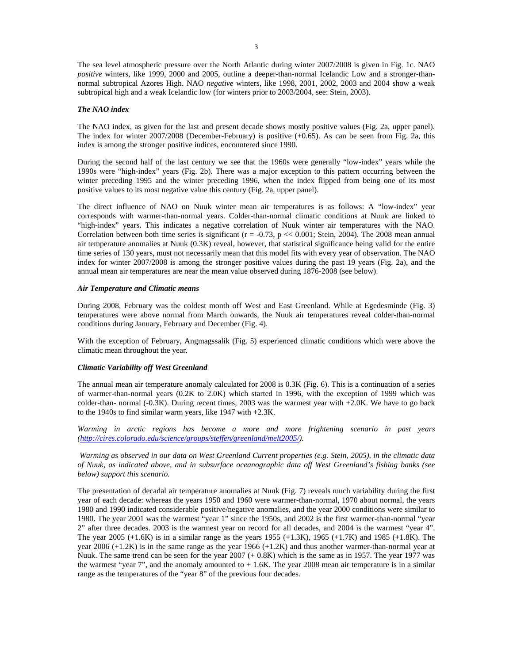The sea level atmospheric pressure over the North Atlantic during winter 2007/2008 is given in Fig. 1c. NAO *positive* winters, like 1999, 2000 and 2005, outline a deeper-than-normal Icelandic Low and a stronger-thannormal subtropical Azores High. NAO *negative* winters, like 1998, 2001, 2002, 2003 and 2004 show a weak subtropical high and a weak Icelandic low (for winters prior to 2003/2004, see: Stein, 2003).

#### *The NAO index*

The NAO index, as given for the last and present decade shows mostly positive values (Fig. 2a, upper panel). The index for winter 2007/2008 (December-February) is positive (+0.65). As can be seen from Fig. 2a, this index is among the stronger positive indices, encountered since 1990.

During the second half of the last century we see that the 1960s were generally "low-index" years while the 1990s were "high-index" years (Fig. 2b). There was a major exception to this pattern occurring between the winter preceding 1995 and the winter preceding 1996, when the index flipped from being one of its most positive values to its most negative value this century (Fig. 2a, upper panel).

The direct influence of NAO on Nuuk winter mean air temperatures is as follows: A "low-index" year corresponds with warmer-than-normal years. Colder-than-normal climatic conditions at Nuuk are linked to "high-index" years. This indicates a negative correlation of Nuuk winter air temperatures with the NAO. Correlation between both time series is significant ( $r = -0.73$ ,  $p \ll 0.001$ ; Stein, 2004). The 2008 mean annual air temperature anomalies at Nuuk (0.3K) reveal, however, that statistical significance being valid for the entire time series of 130 years, must not necessarily mean that this model fits with every year of observation. The NAO index for winter 2007/2008 is among the stronger positive values during the past 19 years (Fig. 2a), and the annual mean air temperatures are near the mean value observed during 1876-2008 (see below).

#### *Air Temperature and Climatic means*

During 2008, February was the coldest month off West and East Greenland. While at Egedesminde (Fig. 3) temperatures were above normal from March onwards, the Nuuk air temperatures reveal colder-than-normal conditions during January, February and December (Fig. 4).

With the exception of February, Angmagssalik (Fig. 5) experienced climatic conditions which were above the climatic mean throughout the year.

#### *Climatic Variability off West Greenland*

The annual mean air temperature anomaly calculated for 2008 is 0.3K (Fig. 6). This is a continuation of a series of warmer-than-normal years (0.2K to 2.0K) which started in 1996, with the exception of 1999 which was colder-than- normal (-0.3K). During recent times, 2003 was the warmest year with  $+2.0K$ . We have to go back to the 1940s to find similar warm years, like 1947 with +2.3K.

*Warming in arctic regions has become a more and more frightening scenario in past years (http://cires.colorado.edu/science/groups/steffen/greenland/melt2005/).* 

 *Warming as observed in our data on West Greenland Current properties (e.g. Stein, 2005), in the climatic data of Nuuk, as indicated above, and in subsurface oceanographic data off West Greenland's fishing banks (see below) support this scenario.* 

The presentation of decadal air temperature anomalies at Nuuk (Fig. 7) reveals much variability during the first year of each decade: whereas the years 1950 and 1960 were warmer-than-normal, 1970 about normal, the years 1980 and 1990 indicated considerable positive/negative anomalies, and the year 2000 conditions were similar to 1980. The year 2001 was the warmest "year 1" since the 1950s, and 2002 is the first warmer-than-normal "year 2" after three decades. 2003 is the warmest year on record for all decades, and 2004 is the warmest "year 4". The year 2005 (+1.6K) is in a similar range as the years 1955 (+1.3K), 1965 (+1.7K) and 1985 (+1.8K). The year 2006 (+1.2K) is in the same range as the year 1966 (+1.2K) and thus another warmer-than-normal year at Nuuk. The same trend can be seen for the year  $2007 (+ 0.8K)$  which is the same as in 1957. The year 1977 was the warmest "year 7", and the anomaly amounted to  $+1.6K$ . The year 2008 mean air temperature is in a similar range as the temperatures of the "year 8" of the previous four decades.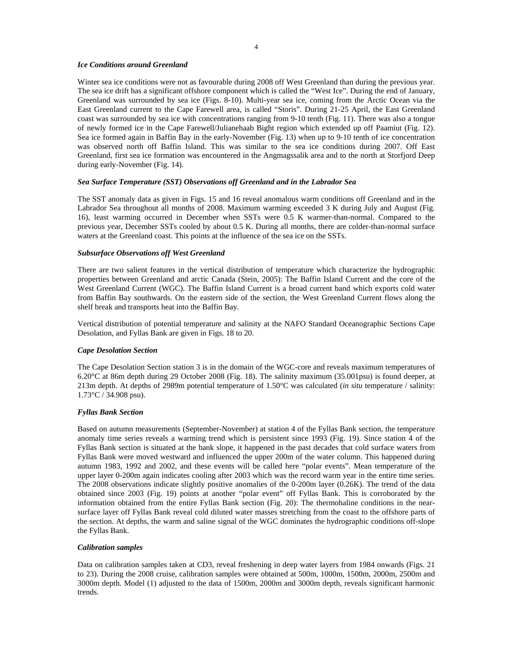#### *Ice Conditions around Greenland*

Winter sea ice conditions were not as favourable during 2008 off West Greenland than during the previous year. The sea ice drift has a significant offshore component which is called the "West Ice". During the end of January, Greenland was surrounded by sea ice (Figs. 8-10). Multi-year sea ice, coming from the Arctic Ocean via the East Greenland current to the Cape Farewell area, is called "Storis". During 21-25 April, the East Greenland coast was surrounded by sea ice with concentrations ranging from 9-10 tenth (Fig. 11). There was also a tongue of newly formed ice in the Cape Farewell/Julianehaab Bight region which extended up off Paamiut (Fig. 12). Sea ice formed again in Baffin Bay in the early-November (Fig. 13) when up to 9-10 tenth of ice concentration was observed north off Baffin Island. This was similar to the sea ice conditions during 2007. Off East Greenland, first sea ice formation was encountered in the Angmagssalik area and to the north at Storfjord Deep during early-November (Fig. 14).

# *Sea Surface Temperature (SST) Observations off Greenland and in the Labrador Sea*

The SST anomaly data as given in Figs. 15 and 16 reveal anomalous warm conditions off Greenland and in the Labrador Sea throughout all months of 2008. Maximum warming exceeded 3 K during July and August (Fig. 16), least warming occurred in December when SSTs were 0.5 K warmer-than-normal. Compared to the previous year, December SSTs cooled by about 0.5 K. During all months, there are colder-than-normal surface waters at the Greenland coast. This points at the influence of the sea ice on the SSTs.

## *Subsurface Observations off West Greenland*

There are two salient features in the vertical distribution of temperature which characterize the hydrographic properties between Greenland and arctic Canada (Stein, 2005): The Baffin Island Current and the core of the West Greenland Current (WGC). The Baffin Island Current is a broad current band which exports cold water from Baffin Bay southwards. On the eastern side of the section, the West Greenland Current flows along the shelf break and transports heat into the Baffin Bay.

Vertical distribution of potential temperature and salinity at the NAFO Standard Oceanographic Sections Cape Desolation, and Fyllas Bank are given in Figs. 18 to 20.

#### *Cape Desolation Section*

The Cape Desolation Section station 3 is in the domain of the WGC-core and reveals maximum temperatures of 6.20°C at 86m depth during 29 October 2008 (Fig. 18). The salinity maximum (35.001psu) is found deeper, at 213m depth. At depths of 2989m potential temperature of 1.50°C was calculated (*in situ* temperature / salinity: 1.73°C / 34.908 psu).

## *Fyllas Bank Section*

Based on autumn measurements (September-November) at station 4 of the Fyllas Bank section, the temperature anomaly time series reveals a warming trend which is persistent since 1993 (Fig. 19). Since station 4 of the Fyllas Bank section is situated at the bank slope, it happened in the past decades that cold surface waters from Fyllas Bank were moved westward and influenced the upper 200m of the water column. This happened during autumn 1983, 1992 and 2002, and these events will be called here "polar events". Mean temperature of the upper layer 0-200m again indicates cooling after 2003 which was the record warm year in the entire time series. The 2008 observations indicate slightly positive anomalies of the 0-200m layer (0.26K). The trend of the data obtained since 2003 (Fig. 19) points at another "polar event" off Fyllas Bank. This is corroborated by the information obtained from the entire Fyllas Bank section (Fig. 20): The thermohaline conditions in the nearsurface layer off Fyllas Bank reveal cold diluted water masses stretching from the coast to the offshore parts of the section. At depths, the warm and saline signal of the WGC dominates the hydrographic conditions off-slope the Fyllas Bank.

#### *Calibration samples*

Data on calibration samples taken at CD3, reveal freshening in deep water layers from 1984 onwards (Figs. 21 to 23). During the 2008 cruise, calibration samples were obtained at 500m, 1000m, 1500m, 2000m, 2500m and 3000m depth. Model (1) adjusted to the data of 1500m, 2000m and 3000m depth, reveals significant harmonic trends.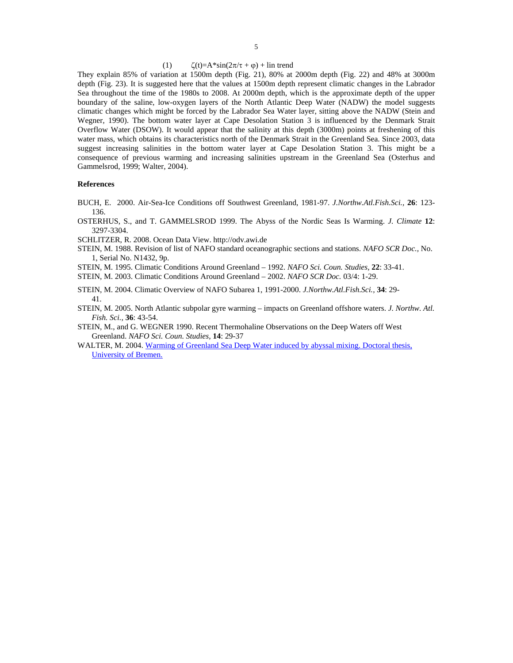#### (1)  $\zeta(t)=A^*\sin(2\pi/\tau+\varphi)+\ln t$  trend

They explain 85% of variation at 1500m depth (Fig. 21), 80% at 2000m depth (Fig. 22) and 48% at 3000m depth (Fig. 23). It is suggested here that the values at 1500m depth represent climatic changes in the Labrador Sea throughout the time of the 1980s to 2008. At 2000m depth, which is the approximate depth of the upper boundary of the saline, low-oxygen layers of the North Atlantic Deep Water (NADW) the model suggests climatic changes which might be forced by the Labrador Sea Water layer, sitting above the NADW (Stein and Wegner, 1990). The bottom water layer at Cape Desolation Station 3 is influenced by the Denmark Strait Overflow Water (DSOW). It would appear that the salinity at this depth (3000m) points at freshening of this water mass, which obtains its characteristics north of the Denmark Strait in the Greenland Sea. Since 2003, data suggest increasing salinities in the bottom water layer at Cape Desolation Station 3. This might be a consequence of previous warming and increasing salinities upstream in the Greenland Sea (Osterhus and Gammelsrod, 1999; Walter, 2004).

# **References**

- BUCH, E. 2000. Air-Sea-Ice Conditions off Southwest Greenland, 1981-97. *J.Northw.Atl.Fish.Sci.,* **26**: 123- 136.
- OSTERHUS, S., and T. GAMMELSROD 1999. The Abyss of the Nordic Seas Is Warming. *J. Climate* **12**: 3297-3304.
- SCHLITZER, R. 2008. Ocean Data View. http://odv.awi.de
- STEIN, M. 1988. Revision of list of NAFO standard oceanographic sections and stations. *NAFO SCR Doc.,* No. 1, Serial No. N1432, 9p.
- STEIN, M. 1995. Climatic Conditions Around Greenland 1992. *NAFO Sci. Coun. Studies,* **22**: 33-41.
- STEIN, M. 2003. Climatic Conditions Around Greenland 2002. *NAFO SCR Doc.* 03/4: 1-29.
- STEIN, M. 2004. Climatic Overview of NAFO Subarea 1, 1991-2000. *J.Northw.Atl.Fish.Sci.,* **34**: 29- 41.
- STEIN, M. 2005. North Atlantic subpolar gyre warming impacts on Greenland offshore waters. *J. Northw. Atl. Fish. Sci.,* **36**: 43-54.
- STEIN, M., and G. WEGNER 1990. Recent Thermohaline Observations on the Deep Waters off West Greenland. *NAFO Sci. Coun. Studies,* **14**: 29-37
- WALTER, M. 2004. Warming of Greenland Sea Deep Water induced by abyssal mixing. Doctoral thesis, University of Bremen.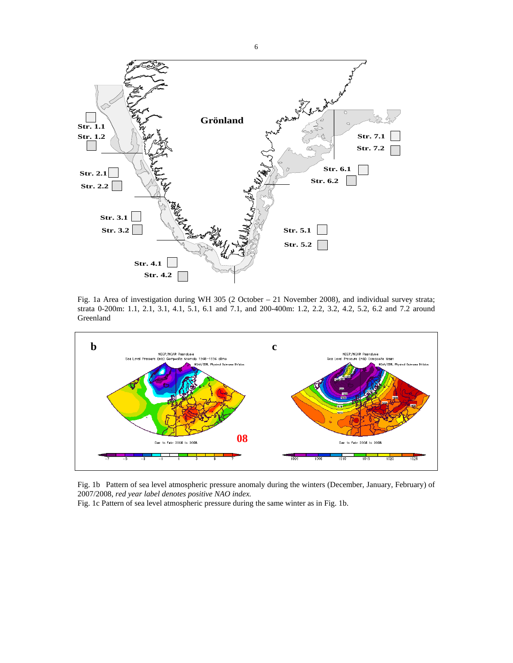

Fig. 1a Area of investigation during WH 305 (2 October – 21 November 2008), and individual survey strata; strata 0-200m: 1.1, 2.1, 3.1, 4.1, 5.1, 6.1 and 7.1, and 200-400m: 1.2, 2.2, 3.2, 4.2, 5.2, 6.2 and 7.2 around Greenland



Fig. 1b Pattern of sea level atmospheric pressure anomaly during the winters (December, January, February) of 2007/2008, *red year label denotes positive NAO index.* 

Fig. 1c Pattern of sea level atmospheric pressure during the same winter as in Fig. 1b.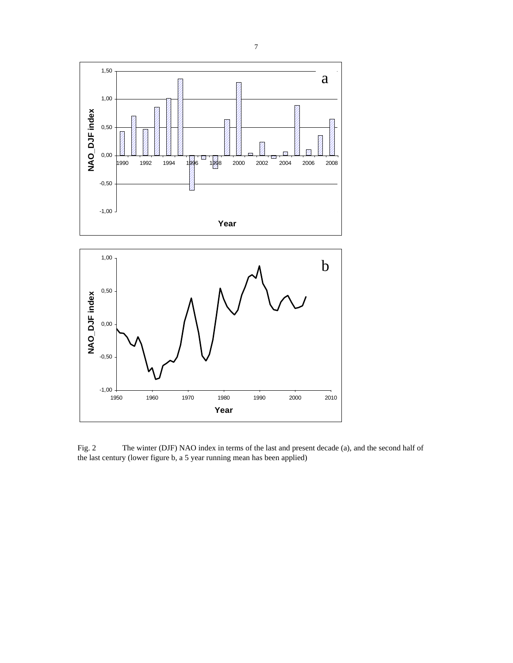

Fig. 2 The winter (DJF) NAO index in terms of the last and present decade (a), and the second half of the last century (lower figure b, a 5 year running mean has been applied)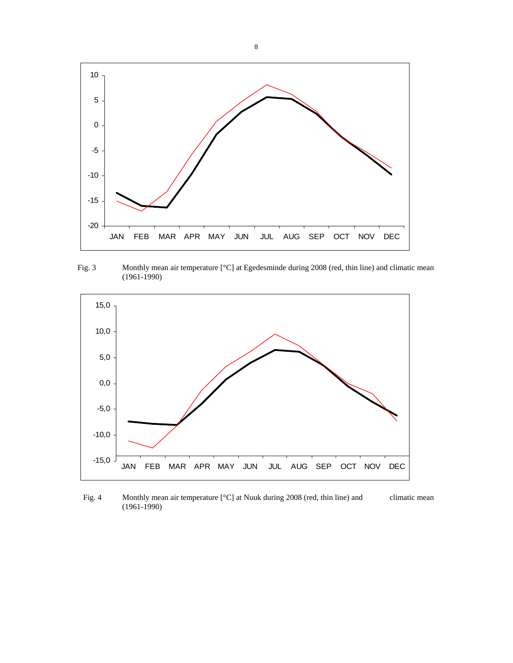

Fig. 3 Monthly mean air temperature [°C] at Egedesminde during 2008 (red, thin line) and climatic mean (1961-1990)



Fig. 4 Monthly mean air temperature [°C] at Nuuk during 2008 (red, thin line) and climatic mean (1961-1990)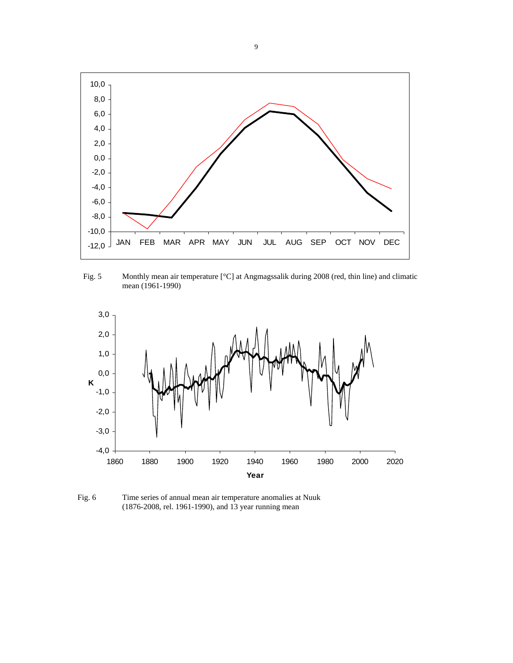

Fig. 5 Monthly mean air temperature [°C] at Angmagssalik during 2008 (red, thin line) and climatic mean (1961-1990)



Fig. 6 Time series of annual mean air temperature anomalies at Nuuk (1876-2008, rel. 1961-1990), and 13 year running mean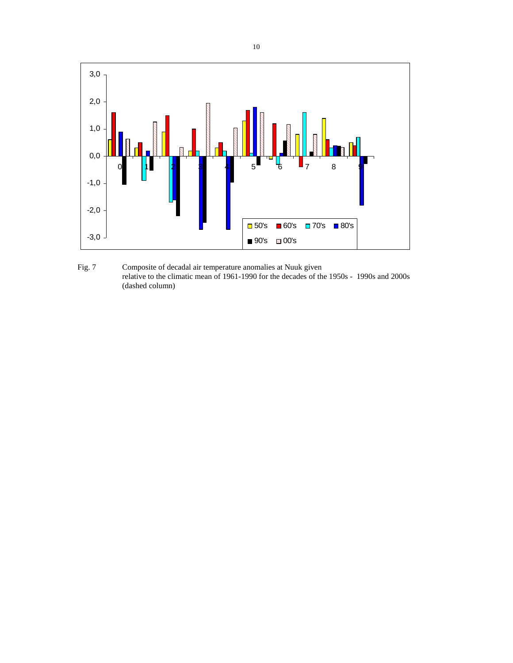

Fig. 7 Composite of decadal air temperature anomalies at Nuuk given relative to the climatic mean of 1961-1990 for the decades of the 1950s - 1990s and 2000s (dashed column)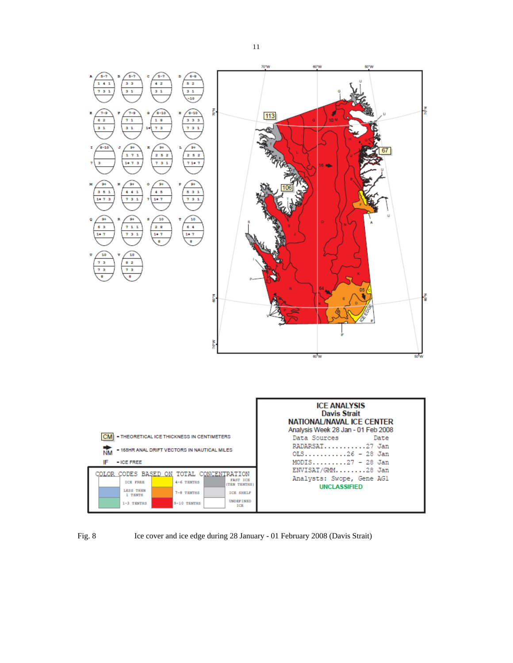



Fig. 8 Ice cover and ice edge during 28 January - 01 February 2008 (Davis Strait)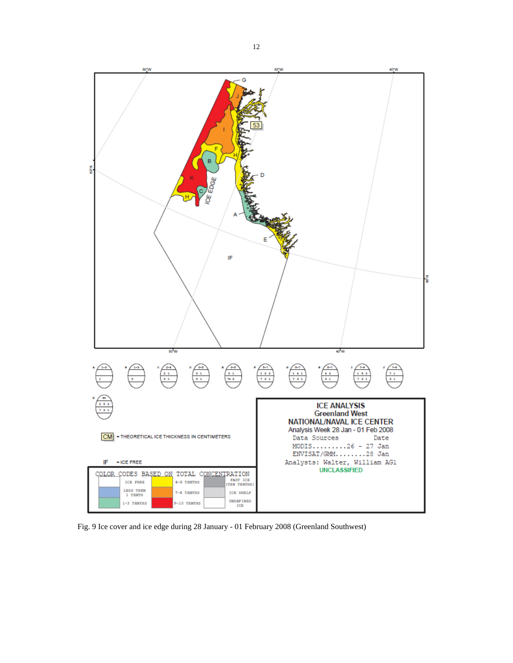

Fig. 9 Ice cover and ice edge during 28 January - 01 February 2008 (Greenland Southwest)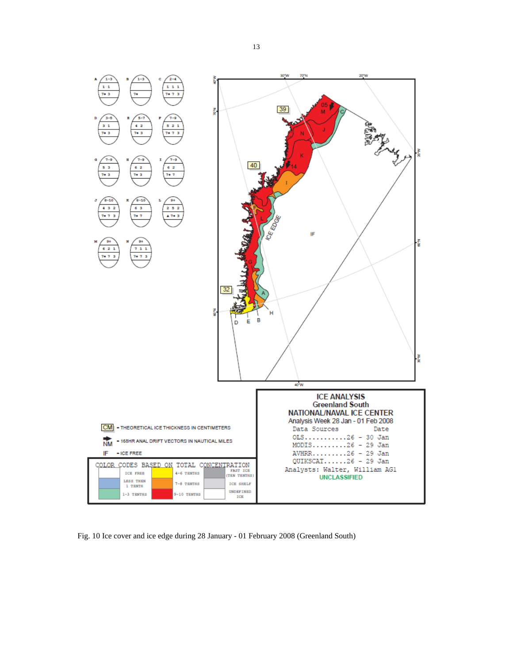

Fig. 10 Ice cover and ice edge during 28 January - 01 February 2008 (Greenland South)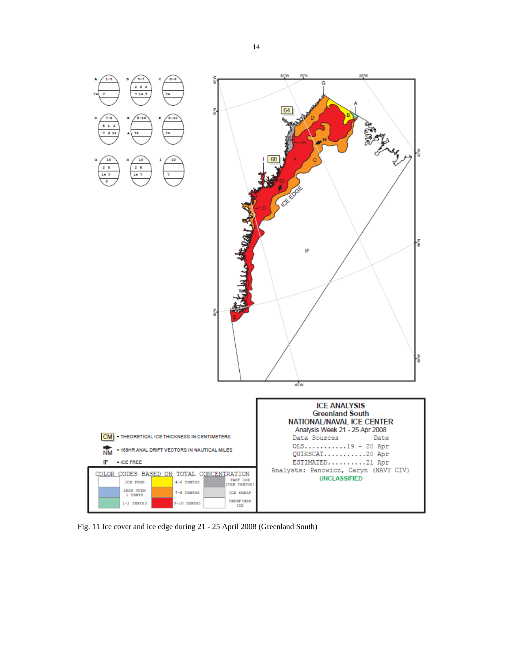

Fig. 11 Ice cover and ice edge during 21 - 25 April 2008 (Greenland South)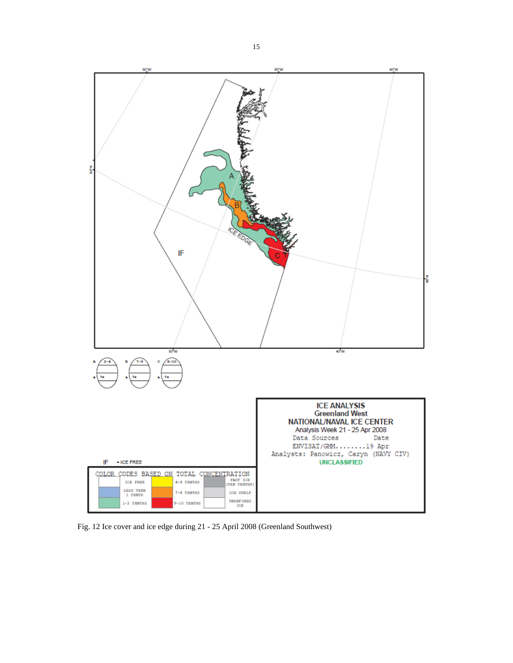

Fig. 12 Ice cover and ice edge during 21 - 25 April 2008 (Greenland Southwest)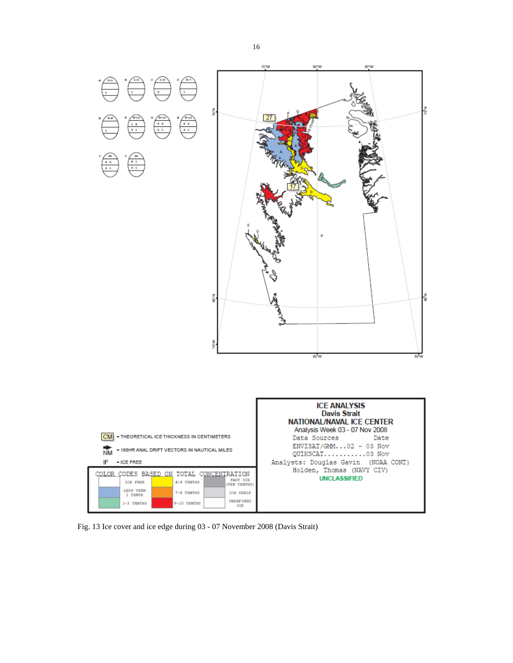

Fig. 13 Ice cover and ice edge during 03 - 07 November 2008 (Davis Strait)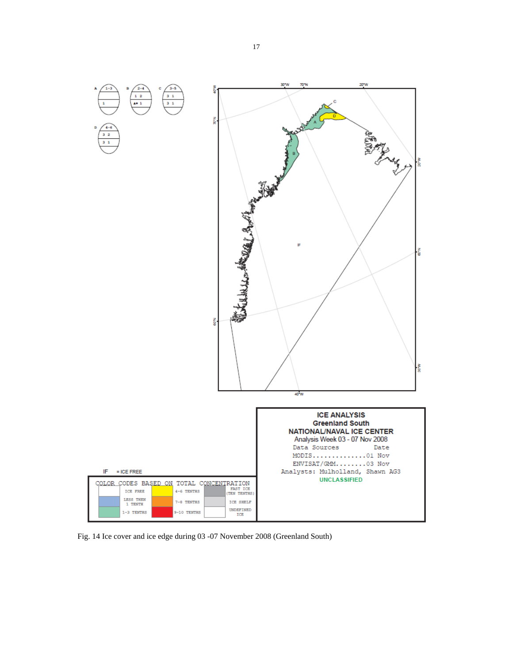

Fig. 14 Ice cover and ice edge during 03 -07 November 2008 (Greenland South)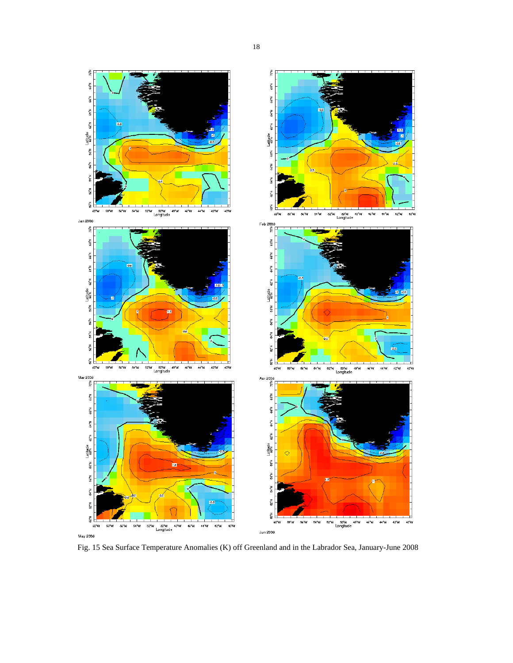

May 2008

Fig. 15 Sea Surface Temperature Anomalies (K) off Greenland and in the Labrador Sea, January-June 2008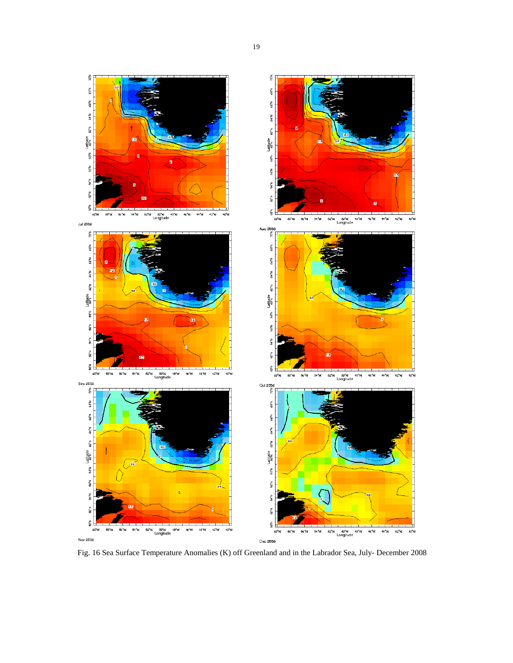

Fig. 16 Sea Surface Temperature Anomalies (K) off Greenland and in the Labrador Sea, July- December 2008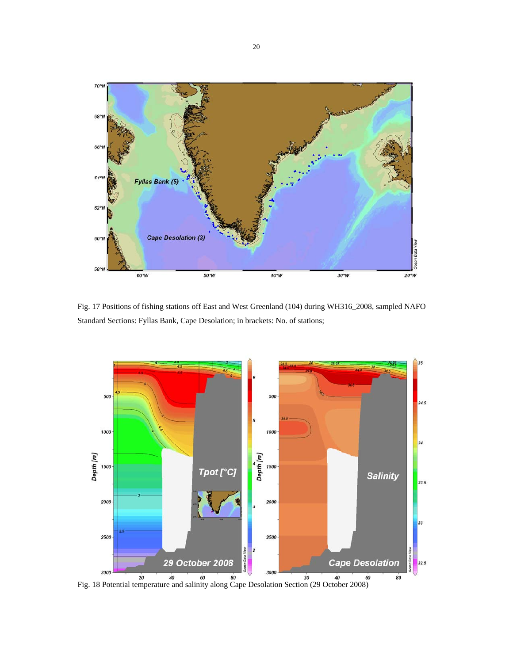

Fig. 17 Positions of fishing stations off East and West Greenland (104) during WH316\_2008, sampled NAFO Standard Sections: Fyllas Bank, Cape Desolation; in brackets: No. of stations;

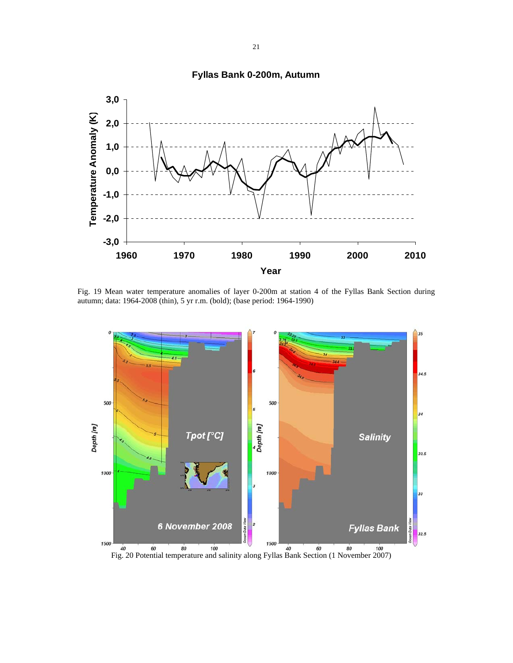

# **Fyllas Bank 0-200m, Autumn**

Fig. 19 Mean water temperature anomalies of layer 0-200m at station 4 of the Fyllas Bank Section during autumn; data: 1964-2008 (thin), 5 yr r.m. (bold); (base period: 1964-1990)

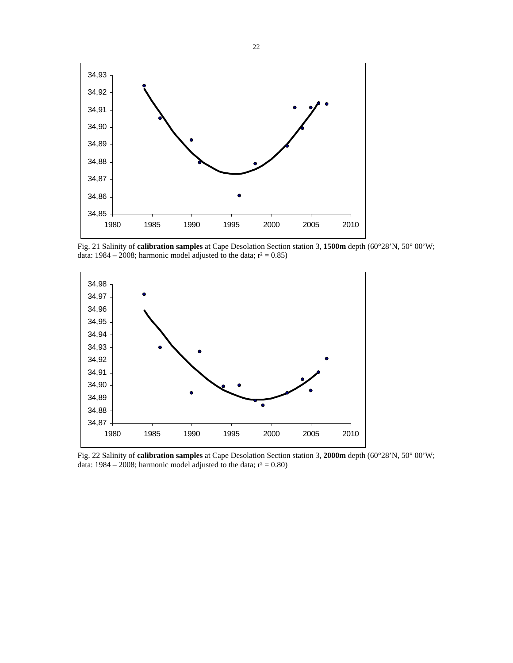

Fig. 21 Salinity of **calibration samples** at Cape Desolation Section station 3, **1500m** depth (60°28'N, 50° 00'W; data: 1984 – 2008; harmonic model adjusted to the data;  $r^2 = 0.85$ )



Fig. 22 Salinity of **calibration samples** at Cape Desolation Section station 3, **2000m** depth (60°28'N, 50° 00'W; data: 1984 – 2008; harmonic model adjusted to the data;  $r^2 = 0.80$ )